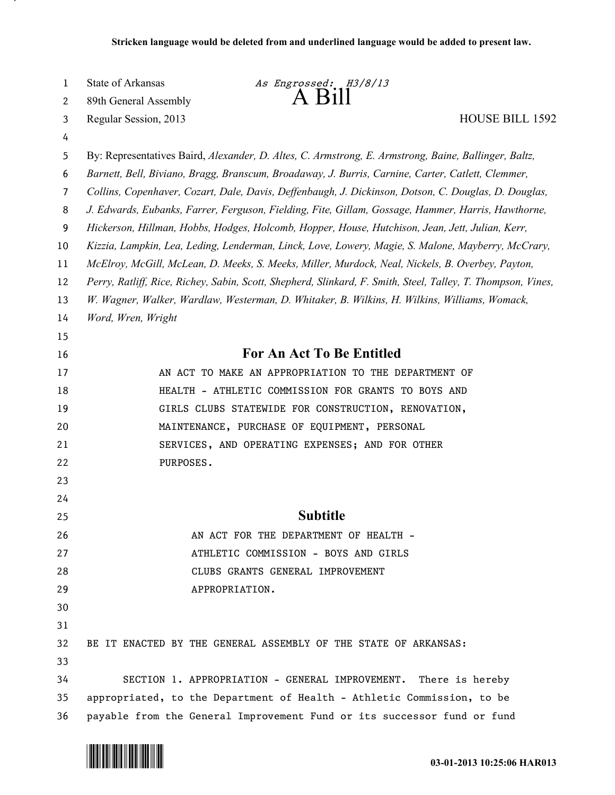| 1        | <b>State of Arkansas</b>                                                                                                                                                                                  | As Engrossed: H3/8/13<br>$A$ $B$ <sub>1</sub> $\overline{B}$                                                                                 |
|----------|-----------------------------------------------------------------------------------------------------------------------------------------------------------------------------------------------------------|----------------------------------------------------------------------------------------------------------------------------------------------|
| 2        | 89th General Assembly                                                                                                                                                                                     |                                                                                                                                              |
| 3        | Regular Session, 2013                                                                                                                                                                                     | <b>HOUSE BILL 1592</b>                                                                                                                       |
| 4<br>5   |                                                                                                                                                                                                           |                                                                                                                                              |
| 6        | By: Representatives Baird, Alexander, D. Altes, C. Armstrong, E. Armstrong, Baine, Ballinger, Baltz,<br>Barnett, Bell, Biviano, Bragg, Branscum, Broadaway, J. Burris, Carnine, Carter, Catlett, Clemmer, |                                                                                                                                              |
| 7        | Collins, Copenhaver, Cozart, Dale, Davis, Deffenbaugh, J. Dickinson, Dotson, C. Douglas, D. Douglas,                                                                                                      |                                                                                                                                              |
| 8        | J. Edwards, Eubanks, Farrer, Ferguson, Fielding, Fite, Gillam, Gossage, Hammer, Harris, Hawthorne,                                                                                                        |                                                                                                                                              |
| 9        | Hickerson, Hillman, Hobbs, Hodges, Holcomb, Hopper, House, Hutchison, Jean, Jett, Julian, Kerr,                                                                                                           |                                                                                                                                              |
| 10       | Kizzia, Lampkin, Lea, Leding, Lenderman, Linck, Love, Lowery, Magie, S. Malone, Mayberry, McCrary,                                                                                                        |                                                                                                                                              |
| 11       | McElroy, McGill, McLean, D. Meeks, S. Meeks, Miller, Murdock, Neal, Nickels, B. Overbey, Payton,                                                                                                          |                                                                                                                                              |
| 12       | Perry, Ratliff, Rice, Richey, Sabin, Scott, Shepherd, Slinkard, F. Smith, Steel, Talley, T. Thompson, Vines,                                                                                              |                                                                                                                                              |
| 13       | W. Wagner, Walker, Wardlaw, Westerman, D. Whitaker, B. Wilkins, H. Wilkins, Williams, Womack,                                                                                                             |                                                                                                                                              |
| 14       | Word, Wren, Wright                                                                                                                                                                                        |                                                                                                                                              |
| 15       |                                                                                                                                                                                                           |                                                                                                                                              |
| 16       | <b>For An Act To Be Entitled</b>                                                                                                                                                                          |                                                                                                                                              |
| 17       | AN ACT TO MAKE AN APPROPRIATION TO THE DEPARTMENT OF                                                                                                                                                      |                                                                                                                                              |
| 18       | HEALTH - ATHLETIC COMMISSION FOR GRANTS TO BOYS AND                                                                                                                                                       |                                                                                                                                              |
| 19       | GIRLS CLUBS STATEWIDE FOR CONSTRUCTION, RENOVATION,                                                                                                                                                       |                                                                                                                                              |
| 20       | MAINTENANCE, PURCHASE OF EQUIPMENT, PERSONAL                                                                                                                                                              |                                                                                                                                              |
| 21       | SERVICES, AND OPERATING EXPENSES; AND FOR OTHER                                                                                                                                                           |                                                                                                                                              |
| 22       | PURPOSES.                                                                                                                                                                                                 |                                                                                                                                              |
| 23       |                                                                                                                                                                                                           |                                                                                                                                              |
| 24       |                                                                                                                                                                                                           |                                                                                                                                              |
| 25       |                                                                                                                                                                                                           | Subtitle                                                                                                                                     |
| 26       |                                                                                                                                                                                                           | AN ACT FOR THE DEPARTMENT OF HEALTH -                                                                                                        |
| 27       |                                                                                                                                                                                                           | ATHLETIC COMMISSION - BOYS AND GIRLS                                                                                                         |
| 28       |                                                                                                                                                                                                           | CLUBS GRANTS GENERAL IMPROVEMENT                                                                                                             |
| 29       |                                                                                                                                                                                                           | APPROPRIATION.                                                                                                                               |
| 30       |                                                                                                                                                                                                           |                                                                                                                                              |
| 31       |                                                                                                                                                                                                           |                                                                                                                                              |
| 32       |                                                                                                                                                                                                           | BE IT ENACTED BY THE GENERAL ASSEMBLY OF THE STATE OF ARKANSAS:                                                                              |
| 33       |                                                                                                                                                                                                           |                                                                                                                                              |
| 34<br>35 |                                                                                                                                                                                                           | SECTION 1. APPROPRIATION - GENERAL IMPROVEMENT.<br>There is hereby<br>appropriated, to the Department of Health - Athletic Commission, to be |
|          |                                                                                                                                                                                                           |                                                                                                                                              |



.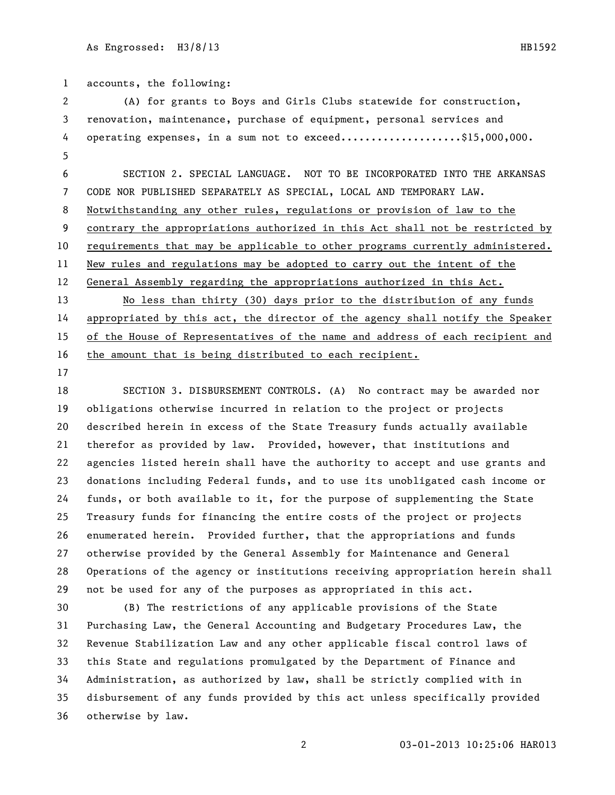As Engrossed: H3/8/13 HB1592

 accounts, the following: (A) for grants to Boys and Girls Clubs statewide for construction, renovation, maintenance, purchase of equipment, personal services and 4 operating expenses, in a sum not to exceed....................\$15,000,000. SECTION 2. SPECIAL LANGUAGE. NOT TO BE INCORPORATED INTO THE ARKANSAS CODE NOR PUBLISHED SEPARATELY AS SPECIAL, LOCAL AND TEMPORARY LAW. Notwithstanding any other rules, regulations or provision of law to the contrary the appropriations authorized in this Act shall not be restricted by requirements that may be applicable to other programs currently administered. New rules and regulations may be adopted to carry out the intent of the General Assembly regarding the appropriations authorized in this Act. No less than thirty (30) days prior to the distribution of any funds appropriated by this act, the director of the agency shall notify the Speaker of the House of Representatives of the name and address of each recipient and the amount that is being distributed to each recipient. SECTION 3. DISBURSEMENT CONTROLS. (A) No contract may be awarded nor obligations otherwise incurred in relation to the project or projects described herein in excess of the State Treasury funds actually available therefor as provided by law. Provided, however, that institutions and agencies listed herein shall have the authority to accept and use grants and donations including Federal funds, and to use its unobligated cash income or funds, or both available to it, for the purpose of supplementing the State

 Treasury funds for financing the entire costs of the project or projects enumerated herein. Provided further, that the appropriations and funds otherwise provided by the General Assembly for Maintenance and General Operations of the agency or institutions receiving appropriation herein shall not be used for any of the purposes as appropriated in this act.

 (B) The restrictions of any applicable provisions of the State Purchasing Law, the General Accounting and Budgetary Procedures Law, the Revenue Stabilization Law and any other applicable fiscal control laws of this State and regulations promulgated by the Department of Finance and Administration, as authorized by law, shall be strictly complied with in disbursement of any funds provided by this act unless specifically provided otherwise by law.